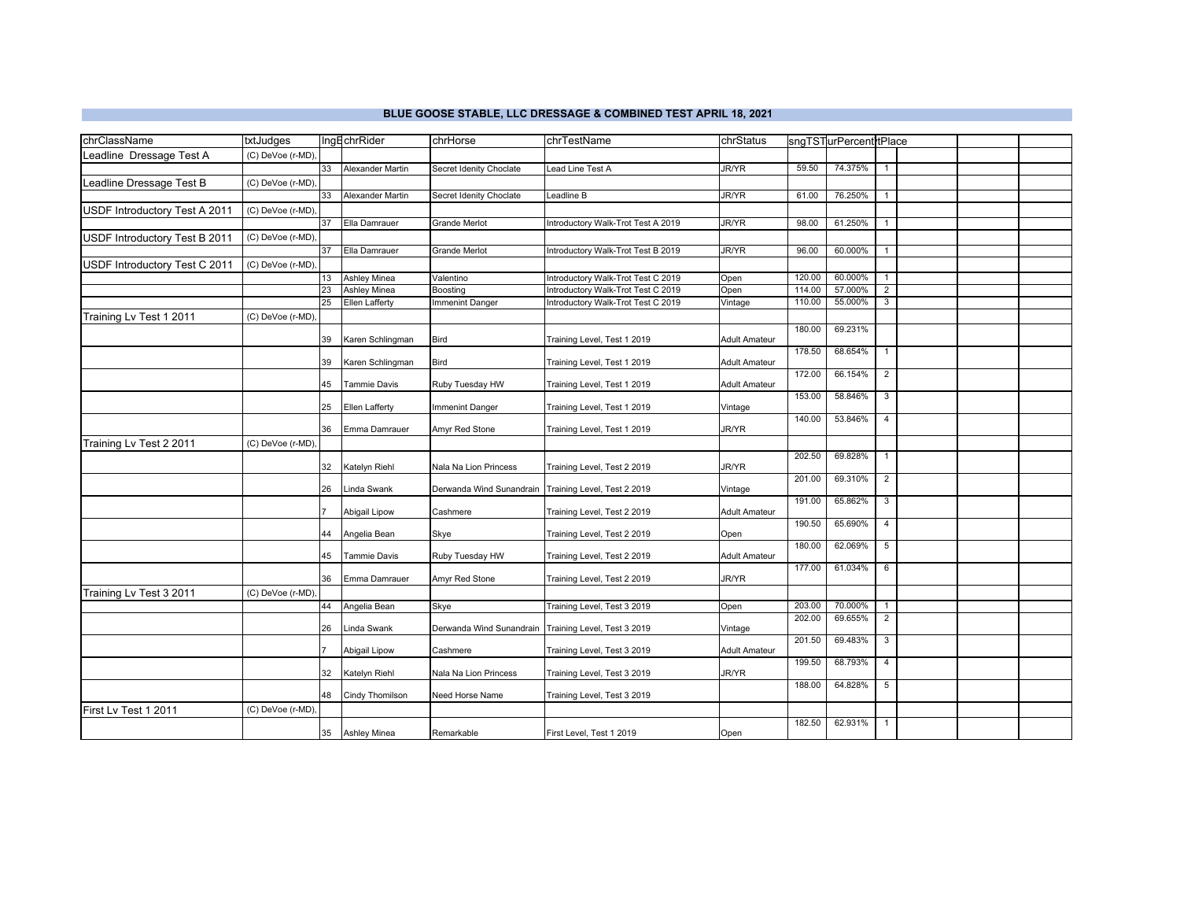## **BLUE GOOSE STABLE, LLC DRESSAGE & COMBINED TEST APRIL 18, 2021**

and the state of the state of the state of the state of the state of

| sngTSTurPercentrtPlace<br>Leadline Dressage Test A<br>(C) DeVoe (r-MD),<br>74.375%<br>33<br>Alexander Martin<br>Secret Idenity Choclate<br>JR/YR<br>59.50<br>Lead Line Test A<br>$\overline{1}$<br>Leadline Dressage Test B<br>(C) DeVoe (r-MD)<br>33<br>Alexander Martin<br>Secret Idenity Choclate<br>Leadline B<br>JR/YR<br>61.00<br>76.250%<br>$\mathbf{1}$<br>USDF Introductory Test A 2011<br>(C) DeVoe (r-MD)<br>98.00<br>61.250%<br>37<br>Ella Damrauer<br>JR/YR<br><b>Grande Merlot</b><br>ntroductory Walk-Trot Test A 2019<br>USDF Introductory Test B 2011<br>(C) DeVoe (r-MD)<br>JR/YR<br>96.00<br>60.000%<br>Ella Damrauer<br><b>Grande Merlot</b><br>Introductory Walk-Trot Test B 2019<br>37<br>$\mathbf{1}$<br>USDF Introductory Test C 2011<br>(C) DeVoe (r-MD),<br>120.00<br>60.000%<br>13<br>Ashley Minea<br>ntroductory Walk-Trot Test C 2019<br>Valentino<br>Open<br>-1<br>23<br>114.00<br>57.000%<br>$\overline{2}$<br>Ashley Minea<br>Boosting<br>ntroductory Walk-Trot Test C 2019<br>Open<br>110.00<br>25<br><b>Immenint Danger</b><br>Introductory Walk-Trot Test C 2019<br>55.000%<br>3<br>Ellen Lafferty<br>Vintage<br>Training Lv Test 1 2011<br>(C) DeVoe (r-MD),<br>180.00<br>69.231%<br>39<br>Karen Schlingman<br><b>Bird</b><br>Training Level, Test 1 2019<br><b>Adult Amateur</b><br>178.50<br>68.654%<br>$\mathbf{1}$<br>39<br>Karen Schlingman<br><b>Adult Amateur</b><br><b>Bird</b><br>Training Level, Test 1 2019<br>172.00<br>66.154%<br>$\overline{2}$<br>45<br>Tammie Davis<br>Ruby Tuesday HW<br>Training Level, Test 1 2019<br>Adult Amateur<br>58.846%<br>153.00<br>3<br>25<br>Ellen Lafferty<br>Immenint Danger<br>Training Level, Test 1 2019<br>Vintage<br>140.00<br>53.846%<br>$\overline{4}$<br>36<br>Amyr Red Stone<br>JR/YR<br>Emma Damrauer<br>Training Level, Test 1 2019<br>Training Lv Test 2 2011<br>(C) DeVoe (r-MD),<br>202.50<br>69.828%<br>$\mathbf{1}$<br>32<br>Katelyn Riehl<br><b>JR/YR</b><br>Nala Na Lion Princess<br>Training Level, Test 2 2019<br>201.00<br>69.310%<br>$\overline{2}$<br>26<br>inda Swank<br>Derwanda Wind Sunandrain<br>Training Level, Test 2 2019<br>√intage<br>191.00<br>65.862%<br>3<br>Abigail Lipow<br>Cashmere<br>Training Level, Test 2 2019<br><b>Adult Amateur</b><br>190.50<br>65.690%<br>4<br>44<br>Angelia Bean<br>Skye<br>Training Level, Test 2 2019<br>Open<br>180.00<br>62.069%<br>5<br>45<br>Tammie Davis<br>Ruby Tuesday HW<br>Training Level, Test 2 2019<br><b>Adult Amateur</b><br>177.00<br>61.034%<br>6<br>36<br>Amyr Red Stone<br><b>JR/YR</b><br>Emma Damrauer<br>Training Level, Test 2 2019<br>Training Lv Test 3 2011<br>(C) DeVoe (r-MD)<br>203.00<br>70.000%<br>Angelia Bean<br>Training Level, Test 3 2019<br>44<br>Skye<br>Open<br>$\mathbf{1}$<br>202.00<br>69.655%<br>$\overline{2}$<br>26<br>Linda Swank<br>Derwanda Wind Sunandrain<br>Training Level, Test 3 2019<br>Vintage<br>69.483%<br>201.50<br>3<br>Abigail Lipow<br>Training Level, Test 3 2019<br><b>Adult Amateur</b><br>Cashmere<br>199.50<br>68.793%<br>$\overline{4}$<br>JR/YR<br>32<br>Katelyn Riehl<br>Nala Na Lion Princess<br>Training Level, Test 3 2019<br>64.828%<br>188.00<br>5<br>48<br>Cindy Thomilson<br>Need Horse Name<br>Training Level, Test 3 2019<br>First Lv Test 1 2011<br>(C) DeVoe (r-MD)<br>62.931%<br>182.50<br>35<br><b>Ashley Minea</b><br>Remarkable<br>First Level. Test 1 2019<br>Open | chrClassName | txtJudges | IngEchrRider | chrHorse | chrTestName | chrStatus |  |  |  |
|--------------------------------------------------------------------------------------------------------------------------------------------------------------------------------------------------------------------------------------------------------------------------------------------------------------------------------------------------------------------------------------------------------------------------------------------------------------------------------------------------------------------------------------------------------------------------------------------------------------------------------------------------------------------------------------------------------------------------------------------------------------------------------------------------------------------------------------------------------------------------------------------------------------------------------------------------------------------------------------------------------------------------------------------------------------------------------------------------------------------------------------------------------------------------------------------------------------------------------------------------------------------------------------------------------------------------------------------------------------------------------------------------------------------------------------------------------------------------------------------------------------------------------------------------------------------------------------------------------------------------------------------------------------------------------------------------------------------------------------------------------------------------------------------------------------------------------------------------------------------------------------------------------------------------------------------------------------------------------------------------------------------------------------------------------------------------------------------------------------------------------------------------------------------------------------------------------------------------------------------------------------------------------------------------------------------------------------------------------------------------------------------------------------------------------------------------------------------------------------------------------------------------------------------------------------------------------------------------------------------------------------------------------------------------------------------------------------------------------------------------------------------------------------------------------------------------------------------------------------------------------------------------------------------------------------------------------------------------------------------------------------------------------------------------------------------------------------------------------------------------------------------------------------------------------------------------------------------------------------------------------------------------------------------------------------------------------------------------------------------------------------------------------------|--------------|-----------|--------------|----------|-------------|-----------|--|--|--|
|                                                                                                                                                                                                                                                                                                                                                                                                                                                                                                                                                                                                                                                                                                                                                                                                                                                                                                                                                                                                                                                                                                                                                                                                                                                                                                                                                                                                                                                                                                                                                                                                                                                                                                                                                                                                                                                                                                                                                                                                                                                                                                                                                                                                                                                                                                                                                                                                                                                                                                                                                                                                                                                                                                                                                                                                                                                                                                                                                                                                                                                                                                                                                                                                                                                                                                                                                                                                              |              |           |              |          |             |           |  |  |  |
|                                                                                                                                                                                                                                                                                                                                                                                                                                                                                                                                                                                                                                                                                                                                                                                                                                                                                                                                                                                                                                                                                                                                                                                                                                                                                                                                                                                                                                                                                                                                                                                                                                                                                                                                                                                                                                                                                                                                                                                                                                                                                                                                                                                                                                                                                                                                                                                                                                                                                                                                                                                                                                                                                                                                                                                                                                                                                                                                                                                                                                                                                                                                                                                                                                                                                                                                                                                                              |              |           |              |          |             |           |  |  |  |
|                                                                                                                                                                                                                                                                                                                                                                                                                                                                                                                                                                                                                                                                                                                                                                                                                                                                                                                                                                                                                                                                                                                                                                                                                                                                                                                                                                                                                                                                                                                                                                                                                                                                                                                                                                                                                                                                                                                                                                                                                                                                                                                                                                                                                                                                                                                                                                                                                                                                                                                                                                                                                                                                                                                                                                                                                                                                                                                                                                                                                                                                                                                                                                                                                                                                                                                                                                                                              |              |           |              |          |             |           |  |  |  |
|                                                                                                                                                                                                                                                                                                                                                                                                                                                                                                                                                                                                                                                                                                                                                                                                                                                                                                                                                                                                                                                                                                                                                                                                                                                                                                                                                                                                                                                                                                                                                                                                                                                                                                                                                                                                                                                                                                                                                                                                                                                                                                                                                                                                                                                                                                                                                                                                                                                                                                                                                                                                                                                                                                                                                                                                                                                                                                                                                                                                                                                                                                                                                                                                                                                                                                                                                                                                              |              |           |              |          |             |           |  |  |  |
|                                                                                                                                                                                                                                                                                                                                                                                                                                                                                                                                                                                                                                                                                                                                                                                                                                                                                                                                                                                                                                                                                                                                                                                                                                                                                                                                                                                                                                                                                                                                                                                                                                                                                                                                                                                                                                                                                                                                                                                                                                                                                                                                                                                                                                                                                                                                                                                                                                                                                                                                                                                                                                                                                                                                                                                                                                                                                                                                                                                                                                                                                                                                                                                                                                                                                                                                                                                                              |              |           |              |          |             |           |  |  |  |
|                                                                                                                                                                                                                                                                                                                                                                                                                                                                                                                                                                                                                                                                                                                                                                                                                                                                                                                                                                                                                                                                                                                                                                                                                                                                                                                                                                                                                                                                                                                                                                                                                                                                                                                                                                                                                                                                                                                                                                                                                                                                                                                                                                                                                                                                                                                                                                                                                                                                                                                                                                                                                                                                                                                                                                                                                                                                                                                                                                                                                                                                                                                                                                                                                                                                                                                                                                                                              |              |           |              |          |             |           |  |  |  |
|                                                                                                                                                                                                                                                                                                                                                                                                                                                                                                                                                                                                                                                                                                                                                                                                                                                                                                                                                                                                                                                                                                                                                                                                                                                                                                                                                                                                                                                                                                                                                                                                                                                                                                                                                                                                                                                                                                                                                                                                                                                                                                                                                                                                                                                                                                                                                                                                                                                                                                                                                                                                                                                                                                                                                                                                                                                                                                                                                                                                                                                                                                                                                                                                                                                                                                                                                                                                              |              |           |              |          |             |           |  |  |  |
|                                                                                                                                                                                                                                                                                                                                                                                                                                                                                                                                                                                                                                                                                                                                                                                                                                                                                                                                                                                                                                                                                                                                                                                                                                                                                                                                                                                                                                                                                                                                                                                                                                                                                                                                                                                                                                                                                                                                                                                                                                                                                                                                                                                                                                                                                                                                                                                                                                                                                                                                                                                                                                                                                                                                                                                                                                                                                                                                                                                                                                                                                                                                                                                                                                                                                                                                                                                                              |              |           |              |          |             |           |  |  |  |
|                                                                                                                                                                                                                                                                                                                                                                                                                                                                                                                                                                                                                                                                                                                                                                                                                                                                                                                                                                                                                                                                                                                                                                                                                                                                                                                                                                                                                                                                                                                                                                                                                                                                                                                                                                                                                                                                                                                                                                                                                                                                                                                                                                                                                                                                                                                                                                                                                                                                                                                                                                                                                                                                                                                                                                                                                                                                                                                                                                                                                                                                                                                                                                                                                                                                                                                                                                                                              |              |           |              |          |             |           |  |  |  |
|                                                                                                                                                                                                                                                                                                                                                                                                                                                                                                                                                                                                                                                                                                                                                                                                                                                                                                                                                                                                                                                                                                                                                                                                                                                                                                                                                                                                                                                                                                                                                                                                                                                                                                                                                                                                                                                                                                                                                                                                                                                                                                                                                                                                                                                                                                                                                                                                                                                                                                                                                                                                                                                                                                                                                                                                                                                                                                                                                                                                                                                                                                                                                                                                                                                                                                                                                                                                              |              |           |              |          |             |           |  |  |  |
|                                                                                                                                                                                                                                                                                                                                                                                                                                                                                                                                                                                                                                                                                                                                                                                                                                                                                                                                                                                                                                                                                                                                                                                                                                                                                                                                                                                                                                                                                                                                                                                                                                                                                                                                                                                                                                                                                                                                                                                                                                                                                                                                                                                                                                                                                                                                                                                                                                                                                                                                                                                                                                                                                                                                                                                                                                                                                                                                                                                                                                                                                                                                                                                                                                                                                                                                                                                                              |              |           |              |          |             |           |  |  |  |
|                                                                                                                                                                                                                                                                                                                                                                                                                                                                                                                                                                                                                                                                                                                                                                                                                                                                                                                                                                                                                                                                                                                                                                                                                                                                                                                                                                                                                                                                                                                                                                                                                                                                                                                                                                                                                                                                                                                                                                                                                                                                                                                                                                                                                                                                                                                                                                                                                                                                                                                                                                                                                                                                                                                                                                                                                                                                                                                                                                                                                                                                                                                                                                                                                                                                                                                                                                                                              |              |           |              |          |             |           |  |  |  |
|                                                                                                                                                                                                                                                                                                                                                                                                                                                                                                                                                                                                                                                                                                                                                                                                                                                                                                                                                                                                                                                                                                                                                                                                                                                                                                                                                                                                                                                                                                                                                                                                                                                                                                                                                                                                                                                                                                                                                                                                                                                                                                                                                                                                                                                                                                                                                                                                                                                                                                                                                                                                                                                                                                                                                                                                                                                                                                                                                                                                                                                                                                                                                                                                                                                                                                                                                                                                              |              |           |              |          |             |           |  |  |  |
|                                                                                                                                                                                                                                                                                                                                                                                                                                                                                                                                                                                                                                                                                                                                                                                                                                                                                                                                                                                                                                                                                                                                                                                                                                                                                                                                                                                                                                                                                                                                                                                                                                                                                                                                                                                                                                                                                                                                                                                                                                                                                                                                                                                                                                                                                                                                                                                                                                                                                                                                                                                                                                                                                                                                                                                                                                                                                                                                                                                                                                                                                                                                                                                                                                                                                                                                                                                                              |              |           |              |          |             |           |  |  |  |
|                                                                                                                                                                                                                                                                                                                                                                                                                                                                                                                                                                                                                                                                                                                                                                                                                                                                                                                                                                                                                                                                                                                                                                                                                                                                                                                                                                                                                                                                                                                                                                                                                                                                                                                                                                                                                                                                                                                                                                                                                                                                                                                                                                                                                                                                                                                                                                                                                                                                                                                                                                                                                                                                                                                                                                                                                                                                                                                                                                                                                                                                                                                                                                                                                                                                                                                                                                                                              |              |           |              |          |             |           |  |  |  |
|                                                                                                                                                                                                                                                                                                                                                                                                                                                                                                                                                                                                                                                                                                                                                                                                                                                                                                                                                                                                                                                                                                                                                                                                                                                                                                                                                                                                                                                                                                                                                                                                                                                                                                                                                                                                                                                                                                                                                                                                                                                                                                                                                                                                                                                                                                                                                                                                                                                                                                                                                                                                                                                                                                                                                                                                                                                                                                                                                                                                                                                                                                                                                                                                                                                                                                                                                                                                              |              |           |              |          |             |           |  |  |  |
|                                                                                                                                                                                                                                                                                                                                                                                                                                                                                                                                                                                                                                                                                                                                                                                                                                                                                                                                                                                                                                                                                                                                                                                                                                                                                                                                                                                                                                                                                                                                                                                                                                                                                                                                                                                                                                                                                                                                                                                                                                                                                                                                                                                                                                                                                                                                                                                                                                                                                                                                                                                                                                                                                                                                                                                                                                                                                                                                                                                                                                                                                                                                                                                                                                                                                                                                                                                                              |              |           |              |          |             |           |  |  |  |
|                                                                                                                                                                                                                                                                                                                                                                                                                                                                                                                                                                                                                                                                                                                                                                                                                                                                                                                                                                                                                                                                                                                                                                                                                                                                                                                                                                                                                                                                                                                                                                                                                                                                                                                                                                                                                                                                                                                                                                                                                                                                                                                                                                                                                                                                                                                                                                                                                                                                                                                                                                                                                                                                                                                                                                                                                                                                                                                                                                                                                                                                                                                                                                                                                                                                                                                                                                                                              |              |           |              |          |             |           |  |  |  |
|                                                                                                                                                                                                                                                                                                                                                                                                                                                                                                                                                                                                                                                                                                                                                                                                                                                                                                                                                                                                                                                                                                                                                                                                                                                                                                                                                                                                                                                                                                                                                                                                                                                                                                                                                                                                                                                                                                                                                                                                                                                                                                                                                                                                                                                                                                                                                                                                                                                                                                                                                                                                                                                                                                                                                                                                                                                                                                                                                                                                                                                                                                                                                                                                                                                                                                                                                                                                              |              |           |              |          |             |           |  |  |  |
|                                                                                                                                                                                                                                                                                                                                                                                                                                                                                                                                                                                                                                                                                                                                                                                                                                                                                                                                                                                                                                                                                                                                                                                                                                                                                                                                                                                                                                                                                                                                                                                                                                                                                                                                                                                                                                                                                                                                                                                                                                                                                                                                                                                                                                                                                                                                                                                                                                                                                                                                                                                                                                                                                                                                                                                                                                                                                                                                                                                                                                                                                                                                                                                                                                                                                                                                                                                                              |              |           |              |          |             |           |  |  |  |
|                                                                                                                                                                                                                                                                                                                                                                                                                                                                                                                                                                                                                                                                                                                                                                                                                                                                                                                                                                                                                                                                                                                                                                                                                                                                                                                                                                                                                                                                                                                                                                                                                                                                                                                                                                                                                                                                                                                                                                                                                                                                                                                                                                                                                                                                                                                                                                                                                                                                                                                                                                                                                                                                                                                                                                                                                                                                                                                                                                                                                                                                                                                                                                                                                                                                                                                                                                                                              |              |           |              |          |             |           |  |  |  |
|                                                                                                                                                                                                                                                                                                                                                                                                                                                                                                                                                                                                                                                                                                                                                                                                                                                                                                                                                                                                                                                                                                                                                                                                                                                                                                                                                                                                                                                                                                                                                                                                                                                                                                                                                                                                                                                                                                                                                                                                                                                                                                                                                                                                                                                                                                                                                                                                                                                                                                                                                                                                                                                                                                                                                                                                                                                                                                                                                                                                                                                                                                                                                                                                                                                                                                                                                                                                              |              |           |              |          |             |           |  |  |  |
|                                                                                                                                                                                                                                                                                                                                                                                                                                                                                                                                                                                                                                                                                                                                                                                                                                                                                                                                                                                                                                                                                                                                                                                                                                                                                                                                                                                                                                                                                                                                                                                                                                                                                                                                                                                                                                                                                                                                                                                                                                                                                                                                                                                                                                                                                                                                                                                                                                                                                                                                                                                                                                                                                                                                                                                                                                                                                                                                                                                                                                                                                                                                                                                                                                                                                                                                                                                                              |              |           |              |          |             |           |  |  |  |
|                                                                                                                                                                                                                                                                                                                                                                                                                                                                                                                                                                                                                                                                                                                                                                                                                                                                                                                                                                                                                                                                                                                                                                                                                                                                                                                                                                                                                                                                                                                                                                                                                                                                                                                                                                                                                                                                                                                                                                                                                                                                                                                                                                                                                                                                                                                                                                                                                                                                                                                                                                                                                                                                                                                                                                                                                                                                                                                                                                                                                                                                                                                                                                                                                                                                                                                                                                                                              |              |           |              |          |             |           |  |  |  |
|                                                                                                                                                                                                                                                                                                                                                                                                                                                                                                                                                                                                                                                                                                                                                                                                                                                                                                                                                                                                                                                                                                                                                                                                                                                                                                                                                                                                                                                                                                                                                                                                                                                                                                                                                                                                                                                                                                                                                                                                                                                                                                                                                                                                                                                                                                                                                                                                                                                                                                                                                                                                                                                                                                                                                                                                                                                                                                                                                                                                                                                                                                                                                                                                                                                                                                                                                                                                              |              |           |              |          |             |           |  |  |  |
|                                                                                                                                                                                                                                                                                                                                                                                                                                                                                                                                                                                                                                                                                                                                                                                                                                                                                                                                                                                                                                                                                                                                                                                                                                                                                                                                                                                                                                                                                                                                                                                                                                                                                                                                                                                                                                                                                                                                                                                                                                                                                                                                                                                                                                                                                                                                                                                                                                                                                                                                                                                                                                                                                                                                                                                                                                                                                                                                                                                                                                                                                                                                                                                                                                                                                                                                                                                                              |              |           |              |          |             |           |  |  |  |
|                                                                                                                                                                                                                                                                                                                                                                                                                                                                                                                                                                                                                                                                                                                                                                                                                                                                                                                                                                                                                                                                                                                                                                                                                                                                                                                                                                                                                                                                                                                                                                                                                                                                                                                                                                                                                                                                                                                                                                                                                                                                                                                                                                                                                                                                                                                                                                                                                                                                                                                                                                                                                                                                                                                                                                                                                                                                                                                                                                                                                                                                                                                                                                                                                                                                                                                                                                                                              |              |           |              |          |             |           |  |  |  |
|                                                                                                                                                                                                                                                                                                                                                                                                                                                                                                                                                                                                                                                                                                                                                                                                                                                                                                                                                                                                                                                                                                                                                                                                                                                                                                                                                                                                                                                                                                                                                                                                                                                                                                                                                                                                                                                                                                                                                                                                                                                                                                                                                                                                                                                                                                                                                                                                                                                                                                                                                                                                                                                                                                                                                                                                                                                                                                                                                                                                                                                                                                                                                                                                                                                                                                                                                                                                              |              |           |              |          |             |           |  |  |  |
|                                                                                                                                                                                                                                                                                                                                                                                                                                                                                                                                                                                                                                                                                                                                                                                                                                                                                                                                                                                                                                                                                                                                                                                                                                                                                                                                                                                                                                                                                                                                                                                                                                                                                                                                                                                                                                                                                                                                                                                                                                                                                                                                                                                                                                                                                                                                                                                                                                                                                                                                                                                                                                                                                                                                                                                                                                                                                                                                                                                                                                                                                                                                                                                                                                                                                                                                                                                                              |              |           |              |          |             |           |  |  |  |
|                                                                                                                                                                                                                                                                                                                                                                                                                                                                                                                                                                                                                                                                                                                                                                                                                                                                                                                                                                                                                                                                                                                                                                                                                                                                                                                                                                                                                                                                                                                                                                                                                                                                                                                                                                                                                                                                                                                                                                                                                                                                                                                                                                                                                                                                                                                                                                                                                                                                                                                                                                                                                                                                                                                                                                                                                                                                                                                                                                                                                                                                                                                                                                                                                                                                                                                                                                                                              |              |           |              |          |             |           |  |  |  |
|                                                                                                                                                                                                                                                                                                                                                                                                                                                                                                                                                                                                                                                                                                                                                                                                                                                                                                                                                                                                                                                                                                                                                                                                                                                                                                                                                                                                                                                                                                                                                                                                                                                                                                                                                                                                                                                                                                                                                                                                                                                                                                                                                                                                                                                                                                                                                                                                                                                                                                                                                                                                                                                                                                                                                                                                                                                                                                                                                                                                                                                                                                                                                                                                                                                                                                                                                                                                              |              |           |              |          |             |           |  |  |  |
|                                                                                                                                                                                                                                                                                                                                                                                                                                                                                                                                                                                                                                                                                                                                                                                                                                                                                                                                                                                                                                                                                                                                                                                                                                                                                                                                                                                                                                                                                                                                                                                                                                                                                                                                                                                                                                                                                                                                                                                                                                                                                                                                                                                                                                                                                                                                                                                                                                                                                                                                                                                                                                                                                                                                                                                                                                                                                                                                                                                                                                                                                                                                                                                                                                                                                                                                                                                                              |              |           |              |          |             |           |  |  |  |
|                                                                                                                                                                                                                                                                                                                                                                                                                                                                                                                                                                                                                                                                                                                                                                                                                                                                                                                                                                                                                                                                                                                                                                                                                                                                                                                                                                                                                                                                                                                                                                                                                                                                                                                                                                                                                                                                                                                                                                                                                                                                                                                                                                                                                                                                                                                                                                                                                                                                                                                                                                                                                                                                                                                                                                                                                                                                                                                                                                                                                                                                                                                                                                                                                                                                                                                                                                                                              |              |           |              |          |             |           |  |  |  |
|                                                                                                                                                                                                                                                                                                                                                                                                                                                                                                                                                                                                                                                                                                                                                                                                                                                                                                                                                                                                                                                                                                                                                                                                                                                                                                                                                                                                                                                                                                                                                                                                                                                                                                                                                                                                                                                                                                                                                                                                                                                                                                                                                                                                                                                                                                                                                                                                                                                                                                                                                                                                                                                                                                                                                                                                                                                                                                                                                                                                                                                                                                                                                                                                                                                                                                                                                                                                              |              |           |              |          |             |           |  |  |  |
|                                                                                                                                                                                                                                                                                                                                                                                                                                                                                                                                                                                                                                                                                                                                                                                                                                                                                                                                                                                                                                                                                                                                                                                                                                                                                                                                                                                                                                                                                                                                                                                                                                                                                                                                                                                                                                                                                                                                                                                                                                                                                                                                                                                                                                                                                                                                                                                                                                                                                                                                                                                                                                                                                                                                                                                                                                                                                                                                                                                                                                                                                                                                                                                                                                                                                                                                                                                                              |              |           |              |          |             |           |  |  |  |
|                                                                                                                                                                                                                                                                                                                                                                                                                                                                                                                                                                                                                                                                                                                                                                                                                                                                                                                                                                                                                                                                                                                                                                                                                                                                                                                                                                                                                                                                                                                                                                                                                                                                                                                                                                                                                                                                                                                                                                                                                                                                                                                                                                                                                                                                                                                                                                                                                                                                                                                                                                                                                                                                                                                                                                                                                                                                                                                                                                                                                                                                                                                                                                                                                                                                                                                                                                                                              |              |           |              |          |             |           |  |  |  |
|                                                                                                                                                                                                                                                                                                                                                                                                                                                                                                                                                                                                                                                                                                                                                                                                                                                                                                                                                                                                                                                                                                                                                                                                                                                                                                                                                                                                                                                                                                                                                                                                                                                                                                                                                                                                                                                                                                                                                                                                                                                                                                                                                                                                                                                                                                                                                                                                                                                                                                                                                                                                                                                                                                                                                                                                                                                                                                                                                                                                                                                                                                                                                                                                                                                                                                                                                                                                              |              |           |              |          |             |           |  |  |  |
|                                                                                                                                                                                                                                                                                                                                                                                                                                                                                                                                                                                                                                                                                                                                                                                                                                                                                                                                                                                                                                                                                                                                                                                                                                                                                                                                                                                                                                                                                                                                                                                                                                                                                                                                                                                                                                                                                                                                                                                                                                                                                                                                                                                                                                                                                                                                                                                                                                                                                                                                                                                                                                                                                                                                                                                                                                                                                                                                                                                                                                                                                                                                                                                                                                                                                                                                                                                                              |              |           |              |          |             |           |  |  |  |
|                                                                                                                                                                                                                                                                                                                                                                                                                                                                                                                                                                                                                                                                                                                                                                                                                                                                                                                                                                                                                                                                                                                                                                                                                                                                                                                                                                                                                                                                                                                                                                                                                                                                                                                                                                                                                                                                                                                                                                                                                                                                                                                                                                                                                                                                                                                                                                                                                                                                                                                                                                                                                                                                                                                                                                                                                                                                                                                                                                                                                                                                                                                                                                                                                                                                                                                                                                                                              |              |           |              |          |             |           |  |  |  |
|                                                                                                                                                                                                                                                                                                                                                                                                                                                                                                                                                                                                                                                                                                                                                                                                                                                                                                                                                                                                                                                                                                                                                                                                                                                                                                                                                                                                                                                                                                                                                                                                                                                                                                                                                                                                                                                                                                                                                                                                                                                                                                                                                                                                                                                                                                                                                                                                                                                                                                                                                                                                                                                                                                                                                                                                                                                                                                                                                                                                                                                                                                                                                                                                                                                                                                                                                                                                              |              |           |              |          |             |           |  |  |  |
|                                                                                                                                                                                                                                                                                                                                                                                                                                                                                                                                                                                                                                                                                                                                                                                                                                                                                                                                                                                                                                                                                                                                                                                                                                                                                                                                                                                                                                                                                                                                                                                                                                                                                                                                                                                                                                                                                                                                                                                                                                                                                                                                                                                                                                                                                                                                                                                                                                                                                                                                                                                                                                                                                                                                                                                                                                                                                                                                                                                                                                                                                                                                                                                                                                                                                                                                                                                                              |              |           |              |          |             |           |  |  |  |
|                                                                                                                                                                                                                                                                                                                                                                                                                                                                                                                                                                                                                                                                                                                                                                                                                                                                                                                                                                                                                                                                                                                                                                                                                                                                                                                                                                                                                                                                                                                                                                                                                                                                                                                                                                                                                                                                                                                                                                                                                                                                                                                                                                                                                                                                                                                                                                                                                                                                                                                                                                                                                                                                                                                                                                                                                                                                                                                                                                                                                                                                                                                                                                                                                                                                                                                                                                                                              |              |           |              |          |             |           |  |  |  |
|                                                                                                                                                                                                                                                                                                                                                                                                                                                                                                                                                                                                                                                                                                                                                                                                                                                                                                                                                                                                                                                                                                                                                                                                                                                                                                                                                                                                                                                                                                                                                                                                                                                                                                                                                                                                                                                                                                                                                                                                                                                                                                                                                                                                                                                                                                                                                                                                                                                                                                                                                                                                                                                                                                                                                                                                                                                                                                                                                                                                                                                                                                                                                                                                                                                                                                                                                                                                              |              |           |              |          |             |           |  |  |  |
|                                                                                                                                                                                                                                                                                                                                                                                                                                                                                                                                                                                                                                                                                                                                                                                                                                                                                                                                                                                                                                                                                                                                                                                                                                                                                                                                                                                                                                                                                                                                                                                                                                                                                                                                                                                                                                                                                                                                                                                                                                                                                                                                                                                                                                                                                                                                                                                                                                                                                                                                                                                                                                                                                                                                                                                                                                                                                                                                                                                                                                                                                                                                                                                                                                                                                                                                                                                                              |              |           |              |          |             |           |  |  |  |
|                                                                                                                                                                                                                                                                                                                                                                                                                                                                                                                                                                                                                                                                                                                                                                                                                                                                                                                                                                                                                                                                                                                                                                                                                                                                                                                                                                                                                                                                                                                                                                                                                                                                                                                                                                                                                                                                                                                                                                                                                                                                                                                                                                                                                                                                                                                                                                                                                                                                                                                                                                                                                                                                                                                                                                                                                                                                                                                                                                                                                                                                                                                                                                                                                                                                                                                                                                                                              |              |           |              |          |             |           |  |  |  |
|                                                                                                                                                                                                                                                                                                                                                                                                                                                                                                                                                                                                                                                                                                                                                                                                                                                                                                                                                                                                                                                                                                                                                                                                                                                                                                                                                                                                                                                                                                                                                                                                                                                                                                                                                                                                                                                                                                                                                                                                                                                                                                                                                                                                                                                                                                                                                                                                                                                                                                                                                                                                                                                                                                                                                                                                                                                                                                                                                                                                                                                                                                                                                                                                                                                                                                                                                                                                              |              |           |              |          |             |           |  |  |  |
|                                                                                                                                                                                                                                                                                                                                                                                                                                                                                                                                                                                                                                                                                                                                                                                                                                                                                                                                                                                                                                                                                                                                                                                                                                                                                                                                                                                                                                                                                                                                                                                                                                                                                                                                                                                                                                                                                                                                                                                                                                                                                                                                                                                                                                                                                                                                                                                                                                                                                                                                                                                                                                                                                                                                                                                                                                                                                                                                                                                                                                                                                                                                                                                                                                                                                                                                                                                                              |              |           |              |          |             |           |  |  |  |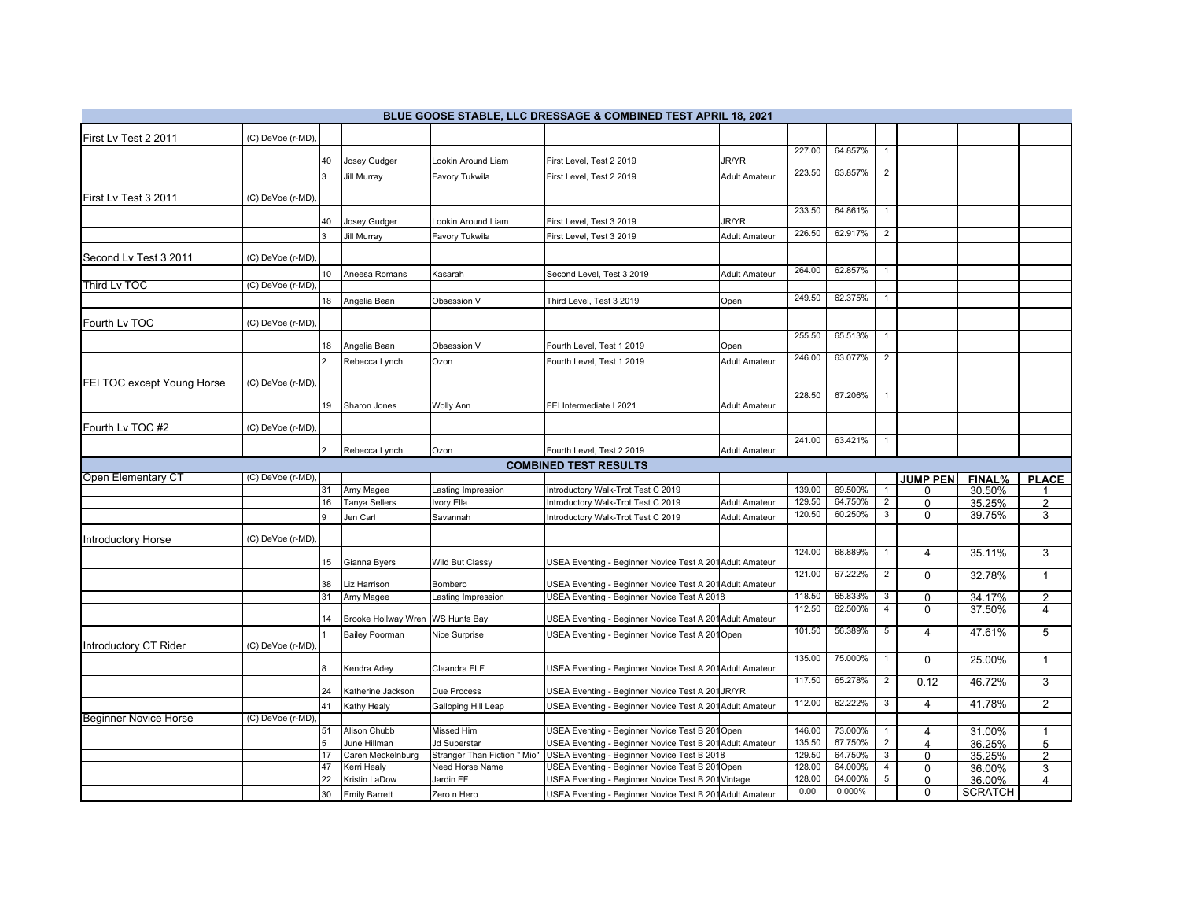|                                   |                   |                |                                       |                                 | <b>BLUE GOOSE STABLE, LLC DRESSAGE &amp; COMBINED TEST APRIL 18, 2021</b>                                      |                      |                  |                   |                |                 |                          |                |
|-----------------------------------|-------------------|----------------|---------------------------------------|---------------------------------|----------------------------------------------------------------------------------------------------------------|----------------------|------------------|-------------------|----------------|-----------------|--------------------------|----------------|
| First Lv Test 2 2011              | (C) DeVoe (r-MD)  |                |                                       |                                 |                                                                                                                |                      |                  |                   |                |                 |                          |                |
|                                   |                   | 40             | Josey Gudger                          | Lookin Around Liam              | First Level, Test 2 2019                                                                                       | JR/YR                | 227.00           | 64.857%           | $\mathbf{1}$   |                 |                          |                |
|                                   |                   | 3              | <b>Jill Murray</b>                    | Favory Tukwila                  | First Level, Test 2 2019                                                                                       | <b>Adult Amateur</b> | 223.50           | 63.857%           | $\overline{2}$ |                 |                          |                |
| First Lv Test 3 2011              | (C) DeVoe (r-MD)  |                |                                       |                                 |                                                                                                                |                      |                  |                   |                |                 |                          |                |
|                                   |                   | 40             | Josey Gudger                          | Lookin Around Liam              | First Level, Test 3 2019                                                                                       | JR/YR                | 233.50           | 64.861%           | $\mathbf{1}$   |                 |                          |                |
|                                   |                   | 3              | <b>Jill Murray</b>                    | Favory Tukwila                  | First Level, Test 3 2019                                                                                       | <b>Adult Amateur</b> | 226.50           | 62.917%           | $\overline{2}$ |                 |                          |                |
|                                   |                   |                |                                       |                                 |                                                                                                                |                      |                  |                   |                |                 |                          |                |
| Second Lv Test 3 2011             | (C) DeVoe (r-MD)  |                |                                       |                                 |                                                                                                                |                      |                  |                   |                |                 |                          |                |
|                                   |                   | 10             | Aneesa Romans                         | Kasarah                         | Second Level, Test 3 2019                                                                                      | <b>Adult Amateur</b> | 264.00           | 62.857%           | $\mathbf{1}$   |                 |                          |                |
| Third Lv TOC                      | (C) DeVoe (r-MD)  |                |                                       |                                 |                                                                                                                |                      |                  |                   |                |                 |                          |                |
|                                   |                   | 18             | Angelia Bean                          | Obsession V                     | Third Level, Test 3 2019                                                                                       | Open                 | 249.50           | 62.375%           |                |                 |                          |                |
|                                   |                   |                |                                       |                                 |                                                                                                                |                      |                  |                   |                |                 |                          |                |
| Fourth Lv TOC                     | (C) DeVoe (r-MD)  |                |                                       |                                 |                                                                                                                |                      | 255.50           | 65.513%           | $\mathbf{1}$   |                 |                          |                |
|                                   |                   | 18             | Angelia Bean                          | Obsession V                     | Fourth Level, Test 1 2019                                                                                      | Open                 |                  |                   |                |                 |                          |                |
|                                   |                   | 2              | Rebecca Lynch                         | Ozon                            | Fourth Level, Test 1 2019                                                                                      | <b>Adult Amateur</b> | 246.00           | 63.077%           | 2              |                 |                          |                |
|                                   |                   |                |                                       |                                 |                                                                                                                |                      |                  |                   |                |                 |                          |                |
| <b>FEI TOC except Young Horse</b> | (C) DeVoe (r-MD), |                |                                       |                                 |                                                                                                                |                      |                  |                   |                |                 |                          |                |
|                                   |                   | 19             | Sharon Jones                          | Wolly Ann                       | FEI Intermediate I 2021                                                                                        | <b>Adult Amateur</b> | 228.50           | 67.206%           | $\mathbf{1}$   |                 |                          |                |
|                                   |                   |                |                                       |                                 |                                                                                                                |                      |                  |                   |                |                 |                          |                |
| Fourth Lv TOC #2                  | (C) DeVoe (r-MD)  |                |                                       |                                 |                                                                                                                |                      |                  |                   |                |                 |                          |                |
|                                   |                   |                |                                       |                                 |                                                                                                                |                      | 241.00           | 63.421%           | $\mathbf{1}$   |                 |                          |                |
|                                   |                   | $\overline{2}$ | Rebecca Lynch                         | Ozon                            | Fourth Level, Test 2 2019                                                                                      | <b>Adult Amateur</b> |                  |                   |                |                 |                          |                |
|                                   |                   |                |                                       |                                 | <b>COMBINED TEST RESULTS</b>                                                                                   |                      |                  |                   |                |                 |                          |                |
| Open Elementary CT                | (C) DeVoe (r-MD), |                |                                       |                                 | Introductory Walk-Trot Test C 2019                                                                             |                      | 139.00           | 69.500%           |                | <b>JUMP PEN</b> | FINAL%                   | <b>PLACE</b>   |
|                                   |                   | 31<br>16       | Amy Magee<br><b>Tanya Sellers</b>     | asting Impression<br>Ivory Ella | Introductory Walk-Trot Test C 2019                                                                             | Adult Amateur        | 129.50           | 64.750%           | $\overline{2}$ | 0<br>0          | 30.50%<br>35.25%         | -1<br>2        |
|                                   |                   | 9              |                                       | Savannah                        |                                                                                                                |                      | 120.50           | 60.250%           | 3              | 0               | 39.75%                   | 3              |
|                                   |                   |                | Jen Carl                              |                                 | Introductory Walk-Trot Test C 2019                                                                             | Adult Amateur        |                  |                   |                |                 |                          |                |
| <b>Introductory Horse</b>         | (C) DeVoe (r-MD)  |                |                                       |                                 |                                                                                                                |                      |                  |                   |                |                 |                          |                |
|                                   |                   |                |                                       |                                 |                                                                                                                |                      | 124.00           | 68.889%           | 1              | 4               | 35.11%                   | 3              |
|                                   |                   | 15             | Gianna Byers                          | Wild But Classy                 | JSEA Eventing - Beginner Novice Test A 201 Adult Amateur                                                       |                      | 121.00           | 67.222%           |                |                 |                          |                |
|                                   |                   | 38             | Liz Harrison                          | Bombero                         | USEA Eventing - Beginner Novice Test A 201 Adult Amateur                                                       |                      |                  |                   | $\overline{2}$ | 0               | 32.78%                   | $\mathbf{1}$   |
|                                   |                   | 31             | Amy Magee                             | Lasting Impression              | USEA Eventing - Beginner Novice Test A 2018                                                                    |                      | 118.50           | 65.833%           | $\overline{3}$ | 0               | 34.17%                   | 2              |
|                                   |                   |                |                                       |                                 |                                                                                                                |                      | 112.50           | 62.500%           | $\overline{4}$ | 0               | 37.50%                   | 4              |
|                                   |                   |                | Brooke Hollway Wren WS Hunts Bay      |                                 |                                                                                                                |                      |                  |                   |                |                 |                          |                |
|                                   |                   | 14             |                                       |                                 | USEA Eventing - Beginner Novice Test A 201 Adult Amateur                                                       |                      |                  |                   |                |                 |                          |                |
|                                   |                   |                | <b>Bailey Poorman</b>                 | Nice Surprise                   | USEA Eventing - Beginner Novice Test A 201Open                                                                 |                      | 101.50           | 56.389%           | 5              | 4               | 47.61%                   | 5              |
| Introductory CT Rider             | (C) DeVoe (r-MD), |                |                                       |                                 |                                                                                                                |                      |                  |                   |                |                 |                          |                |
|                                   |                   |                |                                       |                                 |                                                                                                                |                      | 135.00           | 75.000%           | $\mathbf{1}$   | $\mathbf 0$     | 25.00%                   | $\mathbf{1}$   |
|                                   |                   | 8              | Kendra Adey                           | Cleandra FLF                    | USEA Eventing - Beginner Novice Test A 201 Adult Amateur                                                       |                      | 117.50           | 65.278%           | $\overline{2}$ |                 |                          |                |
|                                   |                   | 24             | Katherine Jackson                     | Due Process                     | USEA Eventing - Beginner Novice Test A 201 JR/YR                                                               |                      |                  |                   |                | 0.12            | 46.72%                   | 3              |
|                                   |                   | 41             | Kathy Healy                           | Galloping Hill Leap             | JSEA Eventing - Beginner Novice Test A 201 Adult Amateur                                                       |                      | 112.00           | 62.222%           | 3              | 4               | 41.78%                   | $\overline{2}$ |
| <b>Beginner Novice Horse</b>      | (C) DeVoe (r-MD)  |                |                                       |                                 |                                                                                                                |                      |                  |                   |                |                 |                          |                |
|                                   |                   | 51             | Alison Chubb                          | Missed Him                      | USEA Eventing - Beginner Novice Test B 201 Open                                                                |                      | 146.00           | 73.000%           |                | 4               | 31.00%                   | -1             |
|                                   |                   |                | June Hillman                          | Jd Superstar                    | USEA Eventing - Beginner Novice Test B 201 Adult Amateur                                                       |                      | 135.50           | 67.750%           | $\overline{2}$ | 4               | 36.25%                   | 5              |
|                                   |                   | 17             | Caren Meckelnburg                     | Stranger Than Fiction " Mio"    | USEA Eventing - Beginner Novice Test B 2018                                                                    |                      | 129.50           | 64.750%           | $\mathbf{3}$   | $\mathbf 0$     | 35.25%                   | 2              |
|                                   |                   | 47<br>22       | Kerri Healy                           | Need Horse Name<br>Jardin FF    | JSEA Eventing - Beginner Novice Test B 201 Open                                                                |                      | 128.00<br>128.00 | 64.000%           | 4              | 0               | 36.00%                   | 3              |
|                                   |                   | 30             | Kristin LaDow<br><b>Emily Barrett</b> | Zero n Hero                     | USEA Eventing - Beginner Novice Test B 201 Vintage<br>JSEA Eventing - Beginner Novice Test B 201 Adult Amateur |                      | 0.00             | 64.000%<br>0.000% | 5              | 0<br>0          | 36.00%<br><b>SCRATCH</b> | 4              |